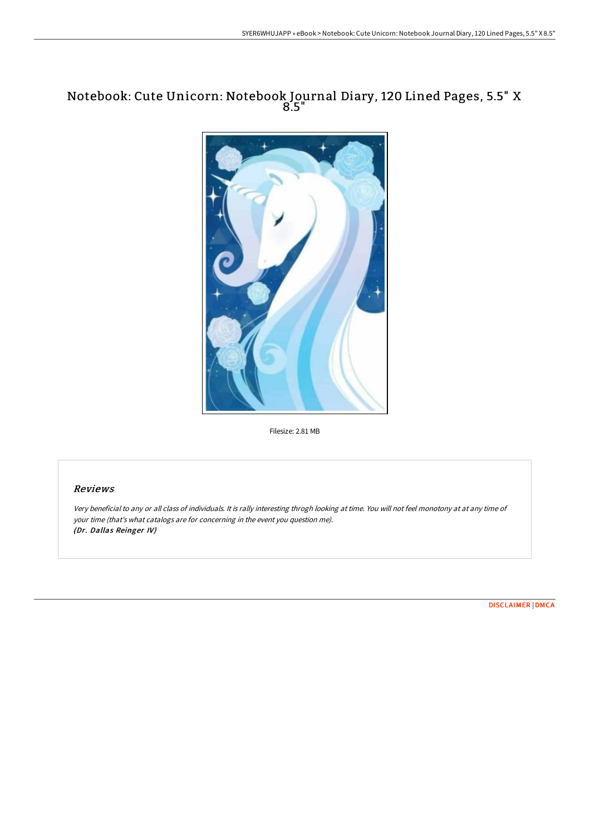## Notebook: Cute Unicorn: Notebook Journal Diary, 120 Lined Pages, 5.5" X 8.5"



Filesize: 2.81 MB

## Reviews

Very beneficial to any or all class of individuals. It is rally interesting throgh looking at time. You will not feel monotony at at any time of your time (that's what catalogs are for concerning in the event you question me). (Dr. Dallas Reinger IV)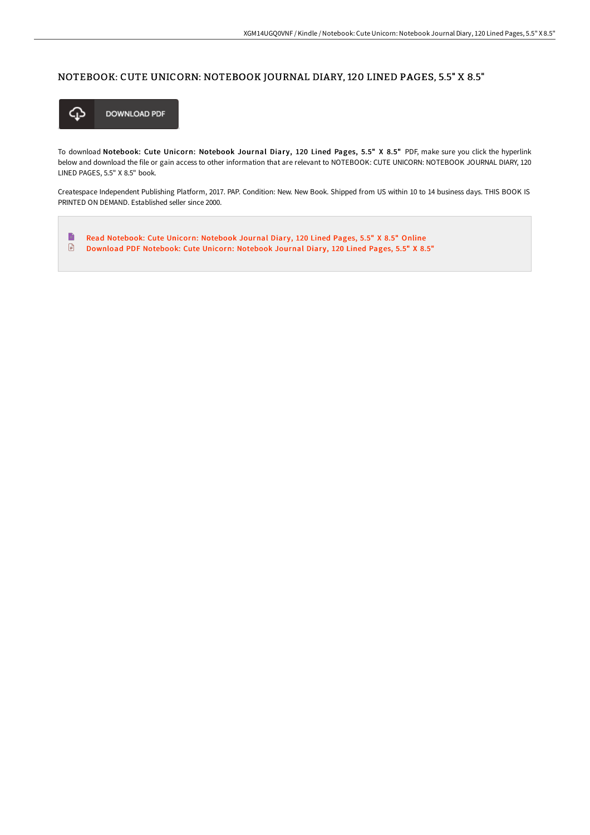## NOTEBOOK: CUTE UNICORN: NOTEBOOK JOURNAL DIARY, 120 LINED PAGES, 5.5" X 8.5"



To download Notebook: Cute Unicorn: Notebook Journal Diary, 120 Lined Pages, 5.5" X 8.5" PDF, make sure you click the hyperlink below and download the file or gain access to other information that are relevant to NOTEBOOK: CUTE UNICORN: NOTEBOOK JOURNAL DIARY, 120 LINED PAGES, 5.5" X 8.5" book.

Createspace Independent Publishing Platform, 2017. PAP. Condition: New. New Book. Shipped from US within 10 to 14 business days. THIS BOOK IS PRINTED ON DEMAND. Established seller since 2000.